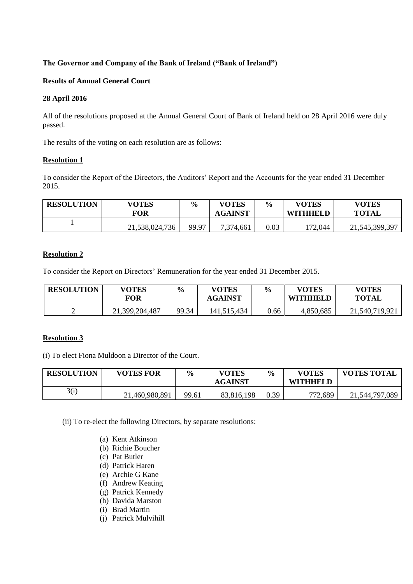# **The Governor and Company of the Bank of Ireland ("Bank of Ireland")**

# **Results of Annual General Court**

#### **28 April 2016**

All of the resolutions proposed at the Annual General Court of Bank of Ireland held on 28 April 2016 were duly passed.

The results of the voting on each resolution are as follows:

#### **Resolution 1**

To consider the Report of the Directors, the Auditors' Report and the Accounts for the year ended 31 December 2015.

| <b>RESOLUTION</b> | <b>VOTES</b><br>FOR | $\frac{6}{9}$ | <b>VOTES</b><br><b>AGAINST</b> | $\frac{6}{9}$ | <b>VOTES</b><br><b>WITHHELD</b> | <b>VOTES</b><br><b>TOTAL</b> |
|-------------------|---------------------|---------------|--------------------------------|---------------|---------------------------------|------------------------------|
|                   | 21,538,024,736      | 99.97         | 7,374,661                      | $0.03\,$      | 172,044                         | 21, 545, 399, 397            |

# **Resolution 2**

To consider the Report on Directors' Remuneration for the year ended 31 December 2015.

| <b>RESOLUTION</b> | <b>VOTES</b><br>FOR | $\frac{0}{0}$ | <b>VOTES</b><br><b>AGAINST</b> | $\frac{6}{6}$ | <b>VOTES</b><br><b>WITHHELD</b> | <b>VOTES</b><br><b>TOTAL</b> |
|-------------------|---------------------|---------------|--------------------------------|---------------|---------------------------------|------------------------------|
| ∽                 | 21,399,204,487      | 99.34         | 141,515,434                    | 0.66          | 4,850,685                       | 21,540,719,921               |

#### **Resolution 3**

(i) To elect Fiona Muldoon a Director of the Court.

| <b>RESOLUTION</b> | <b>VOTES FOR</b> | $\frac{0}{0}$ | <b>VOTES</b><br><b>AGAINST</b> | $\frac{6}{6}$ | <b>VOTES</b><br><b>WITHHELD</b> | <b>VOTES TOTAL</b> |
|-------------------|------------------|---------------|--------------------------------|---------------|---------------------------------|--------------------|
| 3(i)              | 21,460,980,891   | 99.61         | 83,816,198                     | 0.39          | 772,689                         | 21,544,797,089     |

(ii) To re-elect the following Directors, by separate resolutions:

- (a) Kent Atkinson
- (b) Richie Boucher
- (c) Pat Butler
- (d) Patrick Haren
- (e) Archie G Kane
- (f) Andrew Keating
- (g) Patrick Kennedy
- (h) Davida Marston
- (i) Brad Martin
- (j) Patrick Mulvihill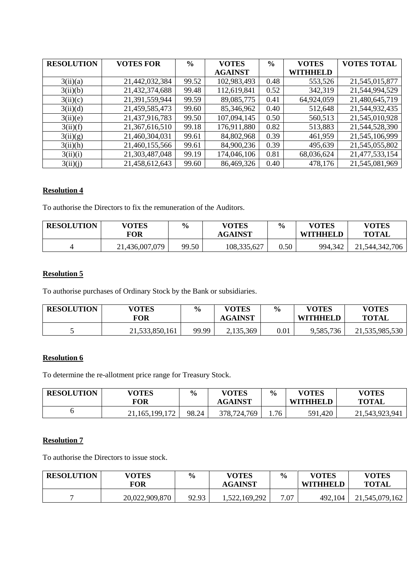| <b>RESOLUTION</b> | <b>VOTES FOR</b> | $\frac{6}{6}$ | <b>VOTES</b>   | $\frac{6}{9}$ | <b>VOTES</b>    | <b>VOTES TOTAL</b> |
|-------------------|------------------|---------------|----------------|---------------|-----------------|--------------------|
|                   |                  |               | <b>AGAINST</b> |               | <b>WITHHELD</b> |                    |
| 3(ii)(a)          | 21,442,032,384   | 99.52         | 102,983,493    | 0.48          | 553,526         | 21,545,015,877     |
| 3(ii)(b)          | 21,432,374,688   | 99.48         | 112,619,841    | 0.52          | 342,319         | 21,544,994,529     |
| 3(ii)(c)          | 21,391,559,944   | 99.59         | 89,085,775     | 0.41          | 64,924,059      | 21,480,645,719     |
| 3(ii)(d)          | 21,459,585,473   | 99.60         | 85,346,962     | 0.40          | 512,648         | 21,544,932,435     |
| 3(ii)(e)          | 21,437,916,783   | 99.50         | 107,094,145    | 0.50          | 560,513         | 21,545,010,928     |
| 3(ii)(f)          | 21,367,616,510   | 99.18         | 176,911,880    | 0.82          | 513,883         | 21,544,528,390     |
| 3(ii)(g)          | 21,460,304,031   | 99.61         | 84,802,968     | 0.39          | 461,959         | 21,545,106,999     |
| 3(ii)(h)          | 21,460,155,566   | 99.61         | 84,900,236     | 0.39          | 495,639         | 21,545,055,802     |
| 3(ii)(i)          | 21,303,487,048   | 99.19         | 174,046,106    | 0.81          | 68,036,624      | 21,477,533,154     |
| 3(ii)(j)          | 21,458,612,643   | 99.60         | 86,469,326     | 0.40          | 478,176         | 21,545,081,969     |

# **Resolution 4**

To authorise the Directors to fix the remuneration of the Auditors.

| <b>RESOLUTION</b> | <b>VOTES</b><br>FOR | $\frac{6}{6}$ | <b>VOTES</b><br><b>AGAINST</b> | $\frac{0}{0}$ | <b>VOTES</b><br><b>WITHHELD</b> | <b>VOTES</b><br><b>TOTAL</b> |
|-------------------|---------------------|---------------|--------------------------------|---------------|---------------------------------|------------------------------|
|                   | 21,436,007,079      | 99.50         | 108,335,627                    | 0.50          | 994,342                         | 21,544,342,706               |

# **Resolution 5**

To authorise purchases of Ordinary Stock by the Bank or subsidiaries.

| <b>RESOLUTION</b> | <b>VOTES</b><br><b>FOR</b> | $\frac{6}{9}$ | <b>VOTES</b><br><b>AGAINST</b> | $\frac{6}{9}$ | <b>VOTES</b><br><b>WITHHELD</b> | <b>VOTES</b><br><b>TOTAL</b> |
|-------------------|----------------------------|---------------|--------------------------------|---------------|---------------------------------|------------------------------|
|                   | 21,533,850,161             | 99.99         | 2,135,369                      | 0.01          | 9,585,736                       | 21,535,985,530               |

# **Resolution 6**

To determine the re-allotment price range for Treasury Stock.

| <b>RESOLUTION</b> | <b>VOTES</b>   | $\frac{6}{6}$ | <b>VOTES</b>   | $\frac{6}{9}$ | <b>VOTES</b>    | <b>VOTES</b>   |
|-------------------|----------------|---------------|----------------|---------------|-----------------|----------------|
|                   | FOR            |               | <b>AGAINST</b> |               | <b>WITHHELD</b> | <b>TOTAL</b>   |
|                   | 21,165,199,172 | 98.24         | 378,724,769    | 1.76          | 591,420         | 21,543,923,941 |

#### **Resolution 7**

To authorise the Directors to issue stock.

| <b>RESOLUTION</b> | <b>VOTES</b><br>FOR | $\frac{6}{6}$ | <b>VOTES</b><br><b>AGAINST</b> | $\frac{6}{9}$ | <b>VOTES</b><br><b>WITHHELD</b> | <b>VOTES</b><br><b>TOTAL</b> |
|-------------------|---------------------|---------------|--------------------------------|---------------|---------------------------------|------------------------------|
|                   | 20,022,909,870      | 92.93         | 1,522,169,292                  | 7.07          | 492,104                         | 21,545,079,162               |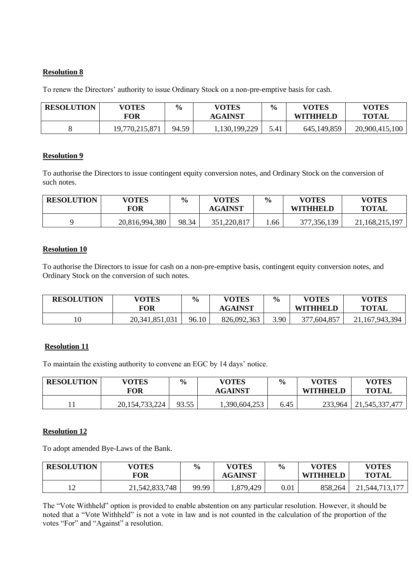### **Resolution 8**

To renew the Directors' authority to issue Ordinary Stock on a non-pre-emptive basis for cash.

| <b>RESOLUTION</b> | VOTES<br>FOR   | $\frac{6}{9}$ | VOTES<br><b>AGAINST</b> | $\frac{6}{6}$ | <b>VOTES</b><br><b>WITHHELD</b> | VOTES<br><b>TOTAL</b> |
|-------------------|----------------|---------------|-------------------------|---------------|---------------------------------|-----------------------|
|                   | 19,770,215,871 | 94.59         | ., 130, 199, 229        | 5.41          | 645,149,859                     | 20,900,415,100        |

#### **Resolution 9**

To authorise the Directors to issue contingent equity conversion notes, and Ordinary Stock on the conversion of such notes.

| <b>RESOLUTION</b> | <b>VOTES</b><br>FOR | $\frac{6}{9}$ | <b>VOTES</b><br><b>AGAINST</b> | $\frac{6}{6}$ | <b>VOTES</b><br><b>WITHHELD</b> | <b>VOTES</b><br><b>TOTAL</b> |
|-------------------|---------------------|---------------|--------------------------------|---------------|---------------------------------|------------------------------|
|                   | 20,816,994,380      | 98.34         | 351,220,817                    | .66           | 377, 356, 139                   | 21,168,215,197               |

#### **Resolution 10**

To authorise the Directors to issue for cash on a non-pre-emptive basis, contingent equity conversion notes, and Ordinary Stock on the conversion of such notes.

| <b>RESOLUTION</b> | <b>VOTES</b><br>FOR | $\frac{0}{0}$ | <b>VOTES</b><br><b>AGAINST</b> | $\frac{6}{9}$ | <b>VOTES</b><br><b>WITHHELD</b> | <b>VOTES</b><br><b>TOTAL</b> |
|-------------------|---------------------|---------------|--------------------------------|---------------|---------------------------------|------------------------------|
| 10                | 20, 341, 851, 031   | 96.10         | 826,092,363                    | 3.90          | 377,604,857                     | 167,943,394                  |

# **Resolution 11**

To maintain the existing authority to convene an EGC by 14 days' notice.

| <b>RESOLUTION</b> | <b>VOTES</b><br>FOR | $\frac{6}{6}$ | <b>VOTES</b><br><b>AGAINST</b> | $\frac{6}{9}$ | VOTES<br><b>WITHHELD</b> | <b>VOTES</b><br><b>TOTAL</b> |
|-------------------|---------------------|---------------|--------------------------------|---------------|--------------------------|------------------------------|
|                   | 20, 154, 733, 224   | 93.55         | 1,390,604,253                  | 6.45          | 233,964                  | 21, 545, 337, 477            |

#### **Resolution 12**

To adopt amended Bye-Laws of the Bank.

| <b>RESOLUTION</b> | <b>VOTES</b><br><b>TOR</b> | $\frac{0}{0}$ | <b>VOTES</b><br><b>AGAINST</b> | $\frac{1}{2}$ | <b>VOTES</b><br><b>WITHHELD</b> | <b>VOTES</b><br><b>TOTAL</b> |
|-------------------|----------------------------|---------------|--------------------------------|---------------|---------------------------------|------------------------------|
| ി                 | 21,542,833,748             | 99.99         | ,879,429                       | 0.01          | 858,264                         | 21, 544, 713, 177            |

The "Vote Withheld" option is provided to enable abstention on any particular resolution. However, it should be noted that a "Vote Withheld" is not a vote in law and is not counted in the calculation of the proportion of the votes "For" and "Against" a resolution.